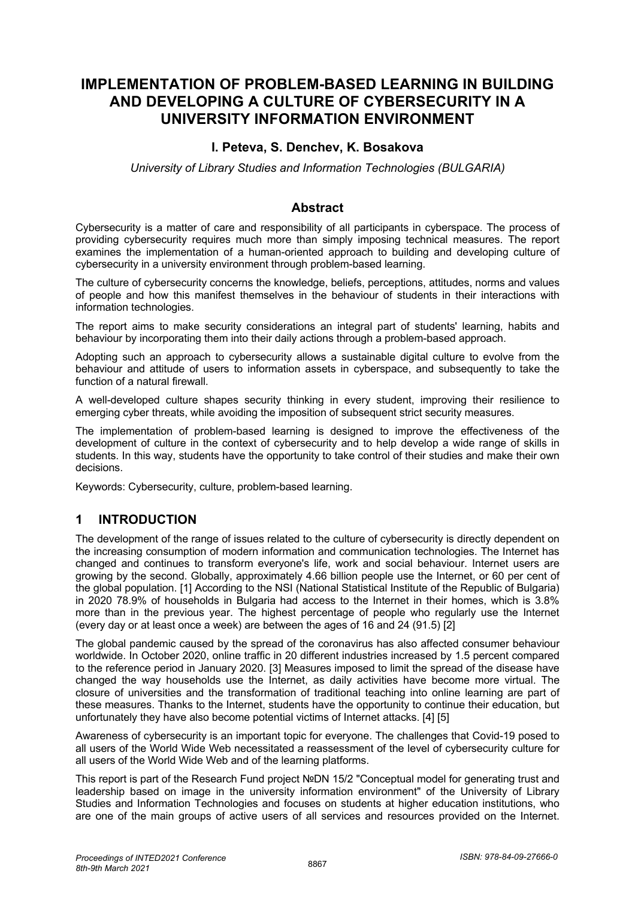# **IMPLEMENTATION OF PROBLEM-BASED LEARNING IN BUILDING AND DEVELOPING A CULTURE OF CYBERSECURITY IN A UNIVERSITY INFORMATION ENVIRONMENT**

### **I. Peteva, S. Denchev, K. Bosakova**

*University of Library Studies and Information Technologies (BULGARIA)*

### **Abstract**

Cybersecurity is a matter of care and responsibility of all participants in cyberspace. The process of providing cybersecurity requires much more than simply imposing technical measures. The report examines the implementation of a human-oriented approach to building and developing culture of cybersecurity in a university environment through problem-based learning.

The culture of cybersecurity concerns the knowledge, beliefs, perceptions, attitudes, norms and values of people and how this manifest themselves in the behaviour of students in their interactions with information technologies.

The report aims to make security considerations an integral part of students' learning, habits and behaviour by incorporating them into their daily actions through a problem-based approach.

Adopting such an approach to cybersecurity allows a sustainable digital culture to evolve from the behaviour and attitude of users to information assets in cyberspace, and subsequently to take the function of a natural firewall.

A well-developed culture shapes security thinking in every student, improving their resilience to emerging cyber threats, while avoiding the imposition of subsequent strict security measures.

The implementation of problem-based learning is designed to improve the effectiveness of the development of culture in the context of cybersecurity and to help develop a wide range of skills in students. In this way, students have the opportunity to take control of their studies and make their own decisions.

Keywords: Cybersecurity, culture, problem-based learning.

# **1 INTRODUCTION**

The development of the range of issues related to the culture of cybersecurity is directly dependent on the increasing consumption of modern information and communication technologies. The Internet has changed and continues to transform everyone's life, work and social behaviour. Internet users are growing by the second. Globally, approximately 4.66 billion people use the Internet, or 60 per cent of the global population. [1] According to the NSI (National Statistical Institute of the Republic of Bulgaria) in 2020 78.9% of households in Bulgaria had access to the Internet in their homes, which is 3.8% more than in the previous year. The highest percentage of people who regularly use the Internet (every day or at least once a week) are between the ages of 16 and 24 (91.5) [2]

The global pandemic caused by the spread of the coronavirus has also affected consumer behaviour worldwide. In October 2020, online traffic in 20 different industries increased by 1.5 percent compared to the reference period in January 2020. [3] Measures imposed to limit the spread of the disease have changed the way households use the Internet, as daily activities have become more virtual. The closure of universities and the transformation of traditional teaching into online learning are part of these measures. Thanks to the Internet, students have the opportunity to continue their education, but unfortunately they have also become potential victims of Internet attacks. [4] [5]

Awareness of cybersecurity is an important topic for everyone. The challenges that Covid-19 posed to all users of the World Wide Web necessitated a reassessment of the level of cybersecurity culture for all users of the World Wide Web and of the learning platforms.

This report is part of the Research Fund project №DN 15/2 "Conceptual model for generating trust and leadership based on image in the university information environment" of the University of Library Studies and Information Technologies and focuses on students at higher education institutions, who are one of the main groups of active users of all services and resources provided on the Internet.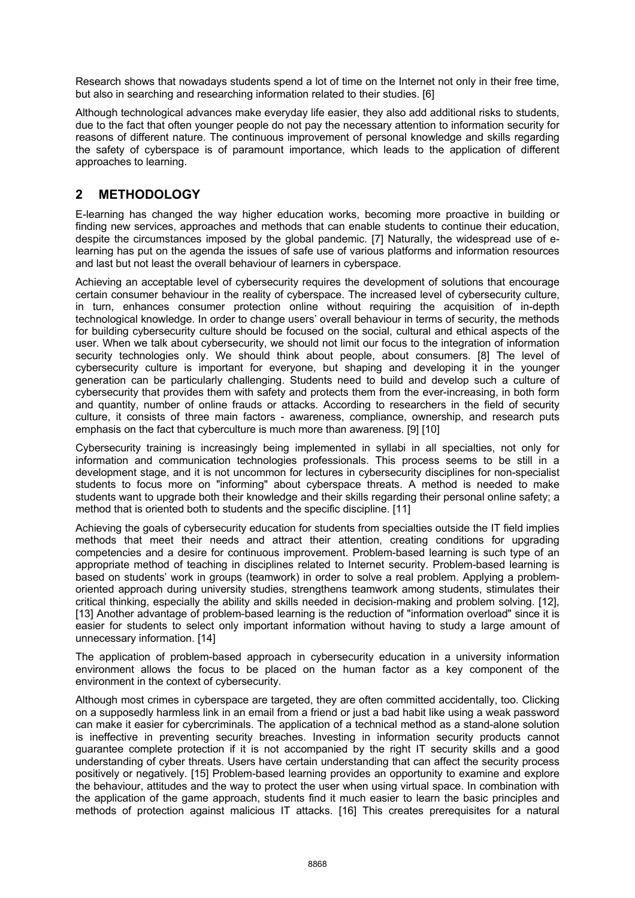Research shows that nowadays students spend a lot of time on the Internet not only in their free time, but also in searching and researching information related to their studies. [6]

Although technological advances make everyday life easier, they also add additional risks to students, due to the fact that often younger people do not pay the necessary attention to information security for reasons of different nature. The continuous improvement of personal knowledge and skills regarding the safety of cyberspace is of paramount importance, which leads to the application of different approaches to learning.

### **2 METHODOLOGY**

E-learning has changed the way higher education works, becoming more proactive in building or finding new services, approaches and methods that can enable students to continue their education, despite the circumstances imposed by the global pandemic. [7] Naturally, the widespread use of elearning has put on the agenda the issues of safe use of various platforms and information resources and last but not least the overall behaviour of learners in cyberspace.

Achieving an acceptable level of cybersecurity requires the development of solutions that encourage certain consumer behaviour in the reality of cyberspace. The increased level of cybersecurity culture, in turn, enhances consumer protection online without requiring the acquisition of in-depth technological knowledge. In order to change users' overall behaviour in terms of security, the methods for building cybersecurity culture should be focused on the social, cultural and ethical aspects of the user. When we talk about cybersecurity, we should not limit our focus to the integration of information security technologies only. We should think about people, about consumers. [8] The level of cybersecurity culture is important for everyone, but shaping and developing it in the younger generation can be particularly challenging. Students need to build and develop such a culture of cybersecurity that provides them with safety and protects them from the ever-increasing, in both form and quantity, number of online frauds or attacks. According to researchers in the field of security culture, it consists of three main factors - awareness, compliance, ownership, and research puts emphasis on the fact that cyberculture is much more than awareness. [9] [10]

Cybersecurity training is increasingly being implemented in syllabi in all specialties, not only for information and communication technologies professionals. This process seems to be still in a development stage, and it is not uncommon for lectures in cybersecurity disciplines for non-specialist students to focus more on "informing" about cyberspace threats. A method is needed to make students want to upgrade both their knowledge and their skills regarding their personal online safety; a method that is oriented both to students and the specific discipline. [11]

Achieving the goals of cybersecurity education for students from specialties outside the IT field implies methods that meet their needs and attract their attention, creating conditions for upgrading competencies and a desire for continuous improvement. Problem-based learning is such type of an appropriate method of teaching in disciplines related to Internet security. Problem-based learning is based on students' work in groups (teamwork) in order to solve a real problem. Applying a problemoriented approach during university studies, strengthens teamwork among students, stimulates their critical thinking, especially the ability and skills needed in decision-making and problem solving. [12], [13] Another advantage of problem-based learning is the reduction of "information overload" since it is easier for students to select only important information without having to study a large amount of unnecessary information. [14]

The application of problem-based approach in cybersecurity education in a university information environment allows the focus to be placed on the human factor as a key component of the environment in the context of cybersecurity.

Although most crimes in cyberspace are targeted, they are often committed accidentally, too. Clicking on a supposedly harmless link in an email from a friend or just a bad habit like using a weak password can make it easier for cybercriminals. The application of a technical method as a stand-alone solution is ineffective in preventing security breaches. Investing in information security products cannot guarantee complete protection if it is not accompanied by the right IT security skills and a good understanding of cyber threats. Users have certain understanding that can affect the security process positively or negatively. [15] Problem-based learning provides an opportunity to examine and explore the behaviour, attitudes and the way to protect the user when using virtual space. In combination with the application of the game approach, students find it much easier to learn the basic principles and methods of protection against malicious IT attacks. [16] This creates prerequisites for a natural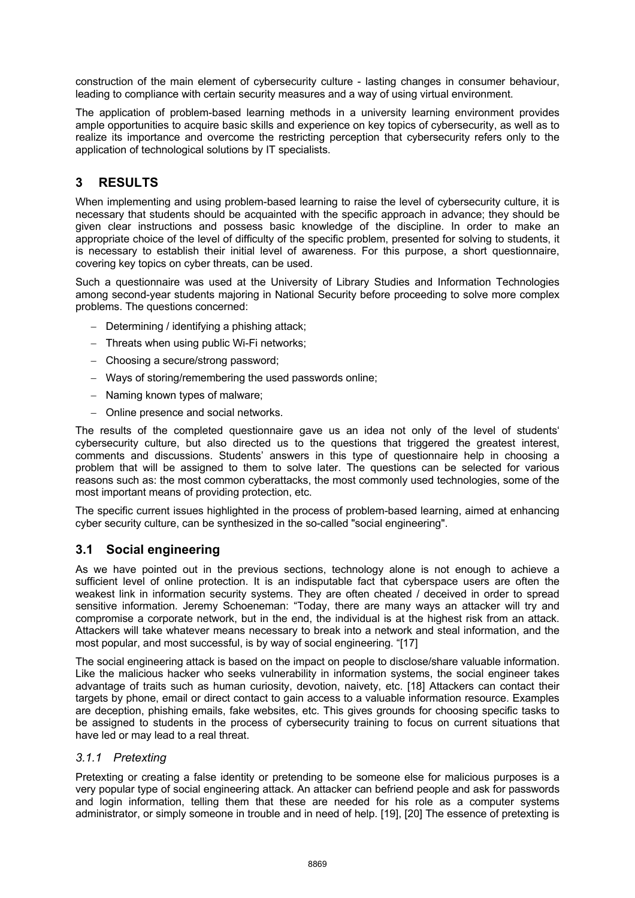construction of the main element of cybersecurity culture - lasting changes in consumer behaviour, leading to compliance with certain security measures and a way of using virtual environment.

The application of problem-based learning methods in a university learning environment provides ample opportunities to acquire basic skills and experience on key topics of cybersecurity, as well as to realize its importance and overcome the restricting perception that cybersecurity refers only to the application of technological solutions by IT specialists.

## **3 RESULTS**

When implementing and using problem-based learning to raise the level of cybersecurity culture, it is necessary that students should be acquainted with the specific approach in advance; they should be given clear instructions and possess basic knowledge of the discipline. In order to make an appropriate choice of the level of difficulty of the specific problem, presented for solving to students, it is necessary to establish their initial level of awareness. For this purpose, a short questionnaire, covering key topics on cyber threats, can be used.

Such a questionnaire was used at the University of Library Studies and Information Technologies among second-year students majoring in National Security before proceeding to solve more complex problems. The questions concerned:

- Determining / identifying a phishing attack;
- Threats when using public Wi-Fi networks;
- Choosing a secure/strong password;
- Ways of storing/remembering the used passwords online;
- Naming known types of malware;
- Online presence and social networks.

The results of the completed questionnaire gave us an idea not only of the level of students' cybersecurity culture, but also directed us to the questions that triggered the greatest interest, comments and discussions. Students' answers in this type of questionnaire help in choosing a problem that will be assigned to them to solve later. The questions can be selected for various reasons such as: the most common cyberattacks, the most commonly used technologies, some of the most important means of providing protection, etc.

The specific current issues highlighted in the process of problem-based learning, aimed at enhancing cyber security culture, can be synthesized in the so-called "social engineering".

### **3.1 Social engineering**

As we have pointed out in the previous sections, technology alone is not enough to achieve a sufficient level of online protection. It is an indisputable fact that cyberspace users are often the weakest link in information security systems. They are often cheated / deceived in order to spread sensitive information. Jeremy Schoeneman: "Today, there are many ways an attacker will try and compromise a corporate network, but in the end, the individual is at the highest risk from an attack. Attackers will take whatever means necessary to break into a network and steal information, and the most popular, and most successful, is by way of social engineering. "[17]

The social engineering attack is based on the impact on people to disclose/share valuable information. Like the malicious hacker who seeks vulnerability in information systems, the social engineer takes advantage of traits such as human curiosity, devotion, naivety, etc. [18] Attackers can contact their targets by phone, email or direct contact to gain access to a valuable information resource. Examples are deception, phishing emails, fake websites, etc. This gives grounds for choosing specific tasks to be assigned to students in the process of cybersecurity training to focus on current situations that have led or may lead to a real threat.

### *3.1.1 Pretexting*

Pretexting or creating a false identity or pretending to be someone else for malicious purposes is a very popular type of social engineering attack. An attacker can befriend people and ask for passwords and login information, telling them that these are needed for his role as a computer systems administrator, or simply someone in trouble and in need of help. [19], [20] The essence of pretexting is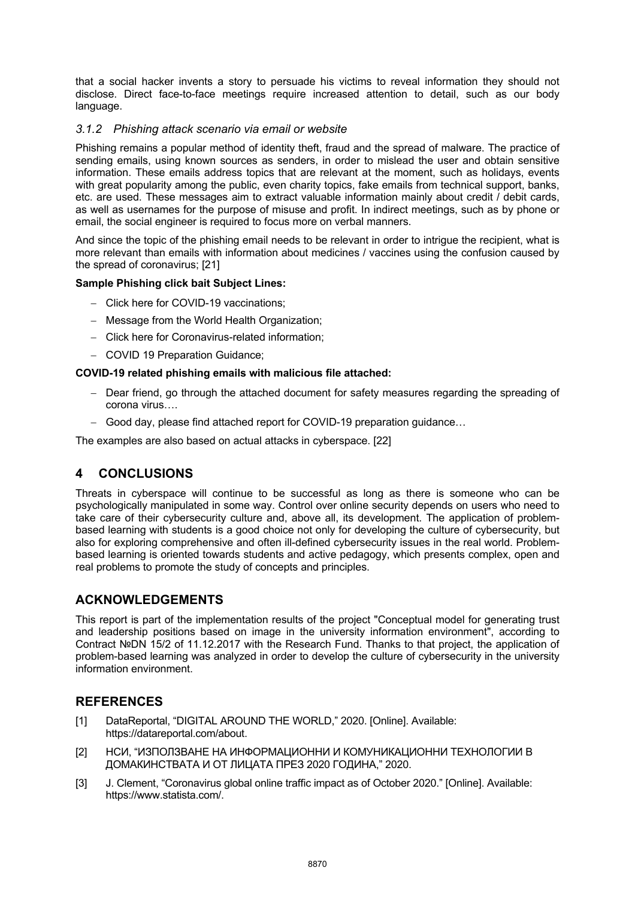that a social hacker invents a story to persuade his victims to reveal information they should not disclose. Direct face-to-face meetings require increased attention to detail, such as our body language.

### *3.1.2 Phishing attack scenario via email or website*

Phishing remains a popular method of identity theft, fraud and the spread of malware. The practice of sending emails, using known sources as senders, in order to mislead the user and obtain sensitive information. These emails address topics that are relevant at the moment, such as holidays, events with great popularity among the public, even charity topics, fake emails from technical support, banks, etc. are used. These messages aim to extract valuable information mainly about credit / debit cards, as well as usernames for the purpose of misuse and profit. In indirect meetings, such as by phone or email, the social engineer is required to focus more on verbal manners.

And since the topic of the phishing email needs to be relevant in order to intrigue the recipient, what is more relevant than emails with information about medicines / vaccines using the confusion caused by the spread of coronavirus; [21]

#### **Sample Phishing click bait Subject Lines:**

- Click here for COVID-19 vaccinations;
- Message from the World Health Organization;
- Click here for Coronavirus-related information;
- COVID 19 Preparation Guidance;

#### **COVID-19 related phishing emails with malicious file attached:**

- Dear friend, go through the attached document for safety measures regarding the spreading of corona virus….
- Good day, please find attached report for COVID-19 preparation guidance...

The examples are also based on actual attacks in cyberspace. [22]

### **4 CONCLUSIONS**

Threats in cyberspace will continue to be successful as long as there is someone who can be psychologically manipulated in some way. Control over online security depends on users who need to take care of their cybersecurity culture and, above all, its development. The application of problembased learning with students is a good choice not only for developing the culture of cybersecurity, but also for exploring comprehensive and often ill-defined cybersecurity issues in the real world. Problembased learning is oriented towards students and active pedagogy, which presents complex, open and real problems to promote the study of concepts and principles.

### **ACKNOWLEDGEMENTS**

This report is part of the implementation results of the project "Conceptual model for generating trust and leadership positions based on image in the university information environment", according to Contract №DN 15/2 of 11.12.2017 with the Research Fund. Thanks to that project, the application of problem-based learning was analyzed in order to develop the culture of cybersecurity in the university information environment.

### **REFERENCES**

- [1] DataReportal, "DIGITAL AROUND THE WORLD," 2020. [Online]. Available: https://datareportal.com/about.
- [2] НСИ, "ИЗПОЛЗВАНЕ НА ИНФОРМАЦИОННИ И КОМУНИКАЦИОННИ ТЕХНОЛОГИИ В ДОМАКИНСТВАТА И ОТ ЛИЦАТА ПРЕЗ 2020 ГОДИНА," 2020.
- [3] J. Clement, "Coronavirus global online traffic impact as of October 2020." [Online]. Available: https://www.statista.com/.